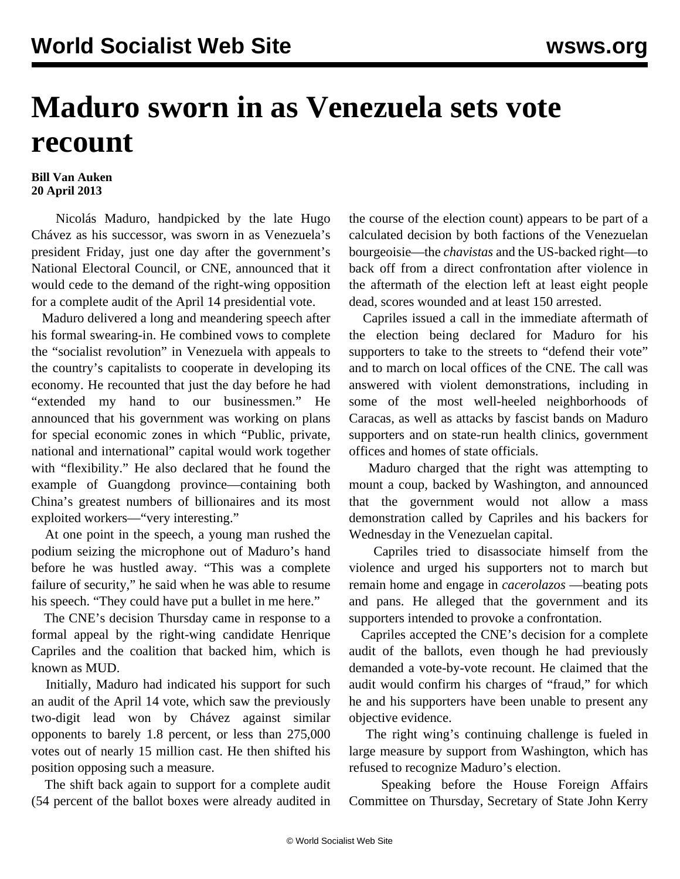## **Maduro sworn in as Venezuela sets vote recount**

## **Bill Van Auken 20 April 2013**

 Nicolás Maduro, handpicked by the late Hugo Chávez as his successor, was sworn in as Venezuela's president Friday, just one day after the government's National Electoral Council, or CNE, announced that it would cede to the demand of the right-wing opposition for a complete audit of the April 14 presidential vote.

 Maduro delivered a long and meandering speech after his formal swearing-in. He combined vows to complete the "socialist revolution" in Venezuela with appeals to the country's capitalists to cooperate in developing its economy. He recounted that just the day before he had "extended my hand to our businessmen." He announced that his government was working on plans for special economic zones in which "Public, private, national and international" capital would work together with "flexibility." He also declared that he found the example of Guangdong province—containing both China's greatest numbers of billionaires and its most exploited workers—"very interesting."

 At one point in the speech, a young man rushed the podium seizing the microphone out of Maduro's hand before he was hustled away. "This was a complete failure of security," he said when he was able to resume his speech. "They could have put a bullet in me here."

 The CNE's decision Thursday came in response to a formal appeal by the right-wing candidate Henrique Capriles and the coalition that backed him, which is known as MUD.

 Initially, Maduro had indicated his support for such an audit of the April 14 vote, which saw the previously two-digit lead won by Chávez against similar opponents to barely 1.8 percent, or less than 275,000 votes out of nearly 15 million cast. He then shifted his position opposing such a measure.

 The shift back again to support for a complete audit (54 percent of the ballot boxes were already audited in the course of the election count) appears to be part of a calculated decision by both factions of the Venezuelan bourgeoisie—the *chavistas* and the US-backed right—to back off from a direct confrontation after violence in the aftermath of the election left at least eight people dead, scores wounded and at least 150 arrested.

 Capriles issued a call in the immediate aftermath of the election being declared for Maduro for his supporters to take to the streets to "defend their vote" and to march on local offices of the CNE. The call was answered with violent demonstrations, including in some of the most well-heeled neighborhoods of Caracas, as well as attacks by fascist bands on Maduro supporters and on state-run health clinics, government offices and homes of state officials.

 Maduro charged that the right was attempting to mount a coup, backed by Washington, and announced that the government would not allow a mass demonstration called by Capriles and his backers for Wednesday in the Venezuelan capital.

 Capriles tried to disassociate himself from the violence and urged his supporters not to march but remain home and engage in *cacerolazos* —beating pots and pans. He alleged that the government and its supporters intended to provoke a confrontation.

 Capriles accepted the CNE's decision for a complete audit of the ballots, even though he had previously demanded a vote-by-vote recount. He claimed that the audit would confirm his charges of "fraud," for which he and his supporters have been unable to present any objective evidence.

 The right wing's continuing challenge is fueled in large measure by support from Washington, which has refused to recognize Maduro's election.

 Speaking before the House Foreign Affairs Committee on Thursday, Secretary of State John Kerry